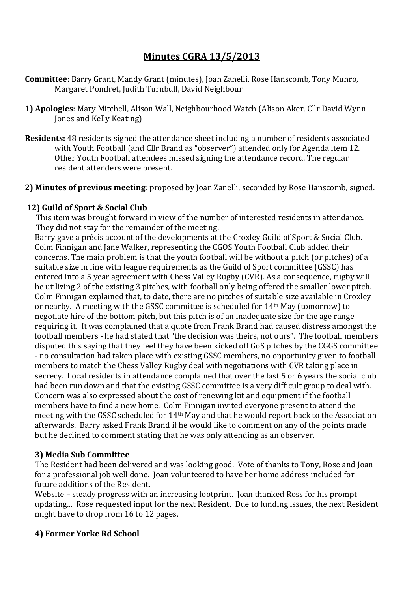# **Minutes CGRA 13/5/2013**

- **Committee:** Barry Grant, Mandy Grant (minutes), Joan Zanelli, Rose Hanscomb, Tony Munro, Margaret Pomfret, Judith Turnbull, David Neighbour
- **1) Apologies**: Mary Mitchell, Alison Wall, Neighbourhood Watch (Alison Aker, Cllr David Wynn Jones and Kelly Keating)
- **Residents:** 48 residents signed the attendance sheet including a number of residents associated with Youth Football (and Cllr Brand as "observer") attended only for Agenda item 12. Other Youth Football attendees missed signing the attendance record. The regular resident attenders were present.
- **2) Minutes of previous meeting**: proposed by Joan Zanelli, seconded by Rose Hanscomb, signed.

## **12) Guild of Sport & Social Club**

This item was brought forward in view of the number of interested residents in attendance. They did not stay for the remainder of the meeting.

Barry gave a précis account of the developments at the Croxley Guild of Sport & Social Club. Colm Finnigan and Jane Walker, representing the CGOS Youth Football Club added their concerns. The main problem is that the youth football will be without a pitch (or pitches) of a suitable size in line with league requirements as the Guild of Sport committee (GSSC) has entered into a 5 year agreement with Chess Valley Rugby (CVR). As a consequence, rugby will be utilizing 2 of the existing 3 pitches, with football only being offered the smaller lower pitch. Colm Finnigan explained that, to date, there are no pitches of suitable size available in Croxley or nearby. A meeting with the GSSC committee is scheduled for 14th May (tomorrow) to negotiate hire of the bottom pitch, but this pitch is of an inadequate size for the age range requiring it. It was complained that a quote from Frank Brand had caused distress amongst the football members - he had stated that "the decision was theirs, not ours". The football members disputed this saying that they feel they have been kicked off GoS pitches by the CGGS committee - no consultation had taken place with existing GSSC members, no opportunity given to football members to match the Chess Valley Rugby deal with negotiations with CVR taking place in secrecy. Local residents in attendance complained that over the last 5 or 6 years the social club had been run down and that the existing GSSC committee is a very difficult group to deal with. Concern was also expressed about the cost of renewing kit and equipment if the football members have to find a new home. Colm Finnigan invited everyone present to attend the meeting with the GSSC scheduled for 14th May and that he would report back to the Association afterwards. Barry asked Frank Brand if he would like to comment on any of the points made but he declined to comment stating that he was only attending as an observer.

#### **3) Media Sub Committee**

The Resident had been delivered and was looking good. Vote of thanks to Tony, Rose and Joan for a professional job well done. Joan volunteered to have her home address included for future additions of the Resident.

Website – steady progress with an increasing footprint. Joan thanked Ross for his prompt updating... Rose requested input for the next Resident. Due to funding issues, the next Resident might have to drop from 16 to 12 pages.

#### **4) Former Yorke Rd School**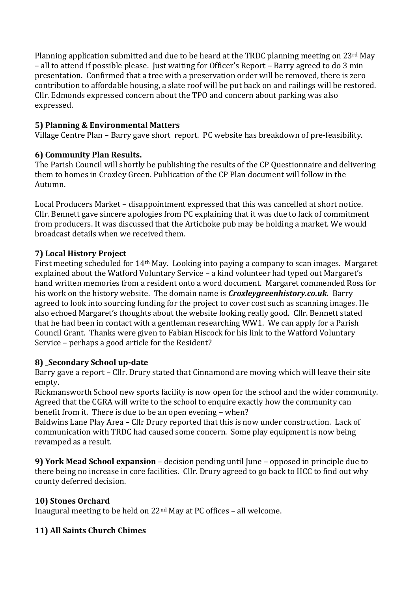Planning application submitted and due to be heard at the TRDC planning meeting on 23rd May – all to attend if possible please. Just waiting for Officer's Report – Barry agreed to do 3 min presentation. Confirmed that a tree with a preservation order will be removed, there is zero contribution to affordable housing, a slate roof will be put back on and railings will be restored. Cllr. Edmonds expressed concern about the TPO and concern about parking was also expressed.

# **5) Planning & Environmental Matters**

Village Centre Plan – Barry gave short report. PC website has breakdown of pre-feasibility.

# **6) Community Plan Results.**

The Parish Council will shortly be publishing the results of the CP Questionnaire and delivering them to homes in Croxley Green. Publication of the CP Plan document will follow in the Autumn.

Local Producers Market – disappointment expressed that this was cancelled at short notice. Cllr. Bennett gave sincere apologies from PC explaining that it was due to lack of commitment from producers. It was discussed that the Artichoke pub may be holding a market. We would broadcast details when we received them.

# **7) Local History Project**

First meeting scheduled for 14th May. Looking into paying a company to scan images. Margaret explained about the Watford Voluntary Service – a kind volunteer had typed out Margaret's hand written memories from a resident onto a word document. Margaret commended Ross for his work on the history website. The domain name is *Croxleygreenhistory.co.uk.* Barry agreed to look into sourcing funding for the project to cover cost such as scanning images. He also echoed Margaret's thoughts about the website looking really good. Cllr. Bennett stated that he had been in contact with a gentleman researching WW1. We can apply for a Parish Council Grant. Thanks were given to Fabian Hiscock for his link to the Watford Voluntary Service – perhaps a good article for the Resident?

## **8) \_Secondary School up-date**

Barry gave a report – Cllr. Drury stated that Cinnamond are moving which will leave their site empty.

Rickmansworth School new sports facility is now open for the school and the wider community. Agreed that the CGRA will write to the school to enquire exactly how the community can benefit from it. There is due to be an open evening – when?

Baldwins Lane Play Area – Cllr Drury reported that this is now under construction. Lack of communication with TRDC had caused some concern. Some play equipment is now being revamped as a result.

**9) York Mead School expansion** – decision pending until June – opposed in principle due to there being no increase in core facilities. Cllr. Drury agreed to go back to HCC to find out why county deferred decision.

## **10) Stones Orchard**

Inaugural meeting to be held on 22nd May at PC offices – all welcome.

## **11) All Saints Church Chimes**